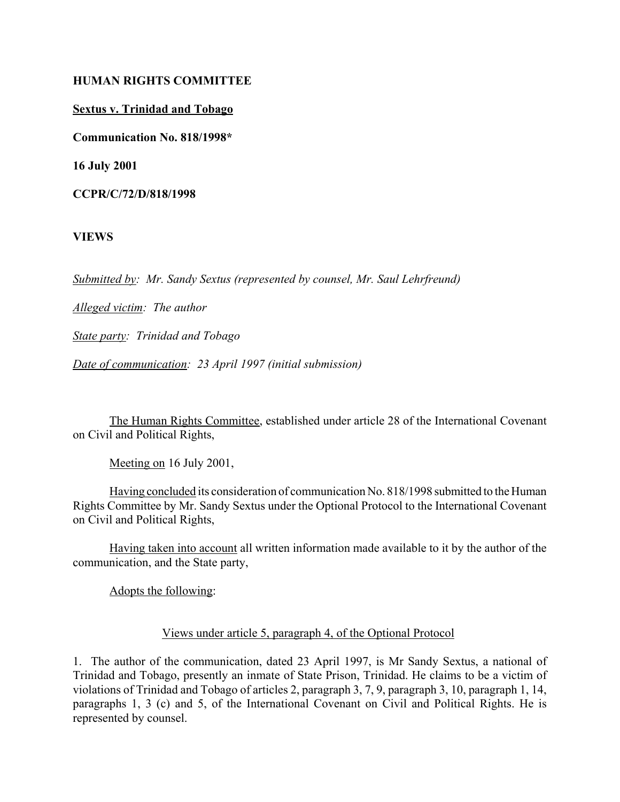#### **HUMAN RIGHTS COMMITTEE**

**Sextus v. Trinidad and Tobago**

**Communication No. 818/1998\***

**16 July 2001**

**CCPR/C/72/D/818/1998**

**VIEWS**

*Submitted by: Mr. Sandy Sextus (represented by counsel, Mr. Saul Lehrfreund)*

*Alleged victim: The author*

*State party: Trinidad and Tobago*

*Date of communication: 23 April 1997 (initial submission)*

The Human Rights Committee, established under article 28 of the International Covenant on Civil and Political Rights,

Meeting on 16 July 2001,

Having concluded its consideration of communication No. 818/1998 submitted to the Human Rights Committee by Mr. Sandy Sextus under the Optional Protocol to the International Covenant on Civil and Political Rights,

Having taken into account all written information made available to it by the author of the communication, and the State party,

Adopts the following:

#### Views under article 5, paragraph 4, of the Optional Protocol

1. The author of the communication, dated 23 April 1997, is Mr Sandy Sextus, a national of Trinidad and Tobago, presently an inmate of State Prison, Trinidad. He claims to be a victim of violations of Trinidad and Tobago of articles 2, paragraph 3, 7, 9, paragraph 3, 10, paragraph 1, 14, paragraphs 1, 3 (c) and 5, of the International Covenant on Civil and Political Rights. He is represented by counsel.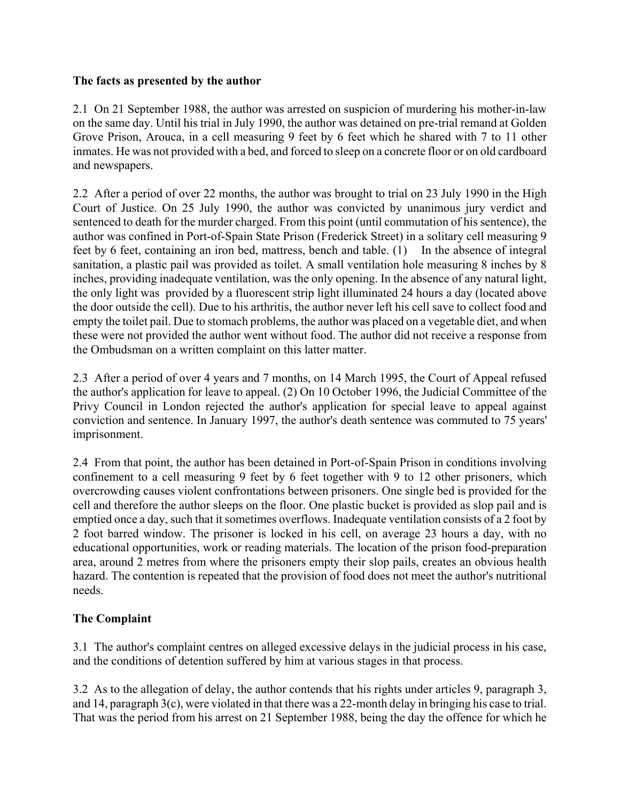### **The facts as presented by the author**

2.1 On 21 September 1988, the author was arrested on suspicion of murdering his mother-in-law on the same day. Until his trial in July 1990, the author was detained on pre-trial remand at Golden Grove Prison, Arouca, in a cell measuring 9 feet by 6 feet which he shared with 7 to 11 other inmates. He was not provided with a bed, and forced to sleep on a concrete floor or on old cardboard and newspapers.

2.2 After a period of over 22 months, the author was brought to trial on 23 July 1990 in the High Court of Justice. On 25 July 1990, the author was convicted by unanimous jury verdict and sentenced to death for the murder charged. From this point (until commutation of his sentence), the author was confined in Port-of-Spain State Prison (Frederick Street) in a solitary cell measuring 9 feet by 6 feet, containing an iron bed, mattress, bench and table. (1) In the absence of integral sanitation, a plastic pail was provided as toilet. A small ventilation hole measuring 8 inches by 8 inches, providing inadequate ventilation, was the only opening. In the absence of any natural light, the only light was provided by a fluorescent strip light illuminated 24 hours a day (located above the door outside the cell). Due to his arthritis, the author never left his cell save to collect food and empty the toilet pail. Due to stomach problems, the author was placed on a vegetable diet, and when these were not provided the author went without food. The author did not receive a response from the Ombudsman on a written complaint on this latter matter.

2.3 After a period of over 4 years and 7 months, on 14 March 1995, the Court of Appeal refused the author's application for leave to appeal. (2) On 10 October 1996, the Judicial Committee of the Privy Council in London rejected the author's application for special leave to appeal against conviction and sentence. In January 1997, the author's death sentence was commuted to 75 years' imprisonment.

2.4 From that point, the author has been detained in Port-of-Spain Prison in conditions involving confinement to a cell measuring 9 feet by 6 feet together with 9 to 12 other prisoners, which overcrowding causes violent confrontations between prisoners. One single bed is provided for the cell and therefore the author sleeps on the floor. One plastic bucket is provided as slop pail and is emptied once a day, such that it sometimes overflows. Inadequate ventilation consists of a 2 foot by 2 foot barred window. The prisoner is locked in his cell, on average 23 hours a day, with no educational opportunities, work or reading materials. The location of the prison food-preparation area, around 2 metres from where the prisoners empty their slop pails, creates an obvious health hazard. The contention is repeated that the provision of food does not meet the author's nutritional needs.

### **The Complaint**

3.1 The author's complaint centres on alleged excessive delays in the judicial process in his case, and the conditions of detention suffered by him at various stages in that process.

3.2 As to the allegation of delay, the author contends that his rights under articles 9, paragraph 3, and 14, paragraph 3(c), were violated in that there was a 22-month delay in bringing his case to trial. That was the period from his arrest on 21 September 1988, being the day the offence for which he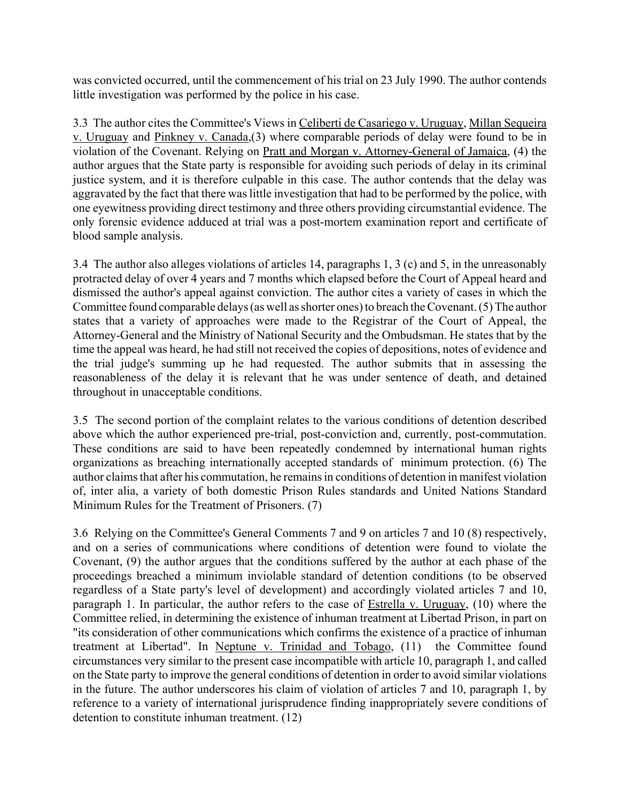was convicted occurred, until the commencement of his trial on 23 July 1990. The author contends little investigation was performed by the police in his case.

3.3 The author cites the Committee's Views in Celiberti de Casariego v. Uruguay, Millan Sequeira v. Uruguay and Pinkney v. Canada,(3) where comparable periods of delay were found to be in violation of the Covenant. Relying on Pratt and Morgan v. Attorney-General of Jamaica, (4) the author argues that the State party is responsible for avoiding such periods of delay in its criminal justice system, and it is therefore culpable in this case. The author contends that the delay was aggravated by the fact that there was little investigation that had to be performed by the police, with one eyewitness providing direct testimony and three others providing circumstantial evidence. The only forensic evidence adduced at trial was a post-mortem examination report and certificate of blood sample analysis.

3.4 The author also alleges violations of articles 14, paragraphs 1, 3 (c) and 5, in the unreasonably protracted delay of over 4 years and 7 months which elapsed before the Court of Appeal heard and dismissed the author's appeal against conviction. The author cites a variety of cases in which the Committee found comparable delays (as well as shorter ones) to breach the Covenant. (5) The author states that a variety of approaches were made to the Registrar of the Court of Appeal, the Attorney-General and the Ministry of National Security and the Ombudsman. He states that by the time the appeal was heard, he had still not received the copies of depositions, notes of evidence and the trial judge's summing up he had requested. The author submits that in assessing the reasonableness of the delay it is relevant that he was under sentence of death, and detained throughout in unacceptable conditions.

3.5 The second portion of the complaint relates to the various conditions of detention described above which the author experienced pre-trial, post-conviction and, currently, post-commutation. These conditions are said to have been repeatedly condemned by international human rights organizations as breaching internationally accepted standards of minimum protection. (6) The author claims that after his commutation, he remains in conditions of detention in manifest violation of, inter alia, a variety of both domestic Prison Rules standards and United Nations Standard Minimum Rules for the Treatment of Prisoners. (7)

3.6 Relying on the Committee's General Comments 7 and 9 on articles 7 and 10 (8) respectively, and on a series of communications where conditions of detention were found to violate the Covenant, (9) the author argues that the conditions suffered by the author at each phase of the proceedings breached a minimum inviolable standard of detention conditions (to be observed regardless of a State party's level of development) and accordingly violated articles 7 and 10, paragraph 1. In particular, the author refers to the case of Estrella v. Uruguay, (10) where the Committee relied, in determining the existence of inhuman treatment at Libertad Prison, in part on "its consideration of other communications which confirms the existence of a practice of inhuman treatment at Libertad". In Neptune v. Trinidad and Tobago, (11) the Committee found circumstances very similar to the present case incompatible with article 10, paragraph 1, and called on the State party to improve the general conditions of detention in order to avoid similar violations in the future. The author underscores his claim of violation of articles 7 and 10, paragraph 1, by reference to a variety of international jurisprudence finding inappropriately severe conditions of detention to constitute inhuman treatment. (12)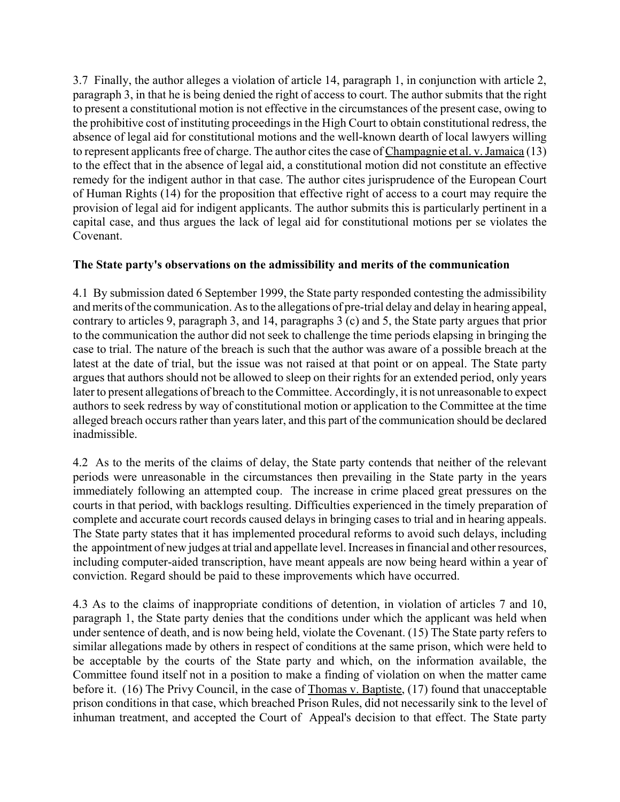3.7 Finally, the author alleges a violation of article 14, paragraph 1, in conjunction with article 2, paragraph 3, in that he is being denied the right of access to court. The author submits that the right to present a constitutional motion is not effective in the circumstances of the present case, owing to the prohibitive cost of instituting proceedings in the High Court to obtain constitutional redress, the absence of legal aid for constitutional motions and the well-known dearth of local lawyers willing to represent applicants free of charge. The author cites the case of Champagnie et al. v. Jamaica (13) to the effect that in the absence of legal aid, a constitutional motion did not constitute an effective remedy for the indigent author in that case. The author cites jurisprudence of the European Court of Human Rights (14) for the proposition that effective right of access to a court may require the provision of legal aid for indigent applicants. The author submits this is particularly pertinent in a capital case, and thus argues the lack of legal aid for constitutional motions per se violates the Covenant.

### **The State party's observations on the admissibility and merits of the communication**

4.1 By submission dated 6 September 1999, the State party responded contesting the admissibility and merits of the communication. As to the allegations of pre-trial delay and delay in hearing appeal, contrary to articles 9, paragraph 3, and 14, paragraphs 3 (c) and 5, the State party argues that prior to the communication the author did not seek to challenge the time periods elapsing in bringing the case to trial. The nature of the breach is such that the author was aware of a possible breach at the latest at the date of trial, but the issue was not raised at that point or on appeal. The State party argues that authors should not be allowed to sleep on their rights for an extended period, only years later to present allegations of breach to the Committee. Accordingly, it is not unreasonable to expect authors to seek redress by way of constitutional motion or application to the Committee at the time alleged breach occurs rather than years later, and this part of the communication should be declared inadmissible.

4.2 As to the merits of the claims of delay, the State party contends that neither of the relevant periods were unreasonable in the circumstances then prevailing in the State party in the years immediately following an attempted coup. The increase in crime placed great pressures on the courts in that period, with backlogs resulting. Difficulties experienced in the timely preparation of complete and accurate court records caused delays in bringing cases to trial and in hearing appeals. The State party states that it has implemented procedural reforms to avoid such delays, including the appointment of new judges at trial and appellate level. Increases in financial and other resources, including computer-aided transcription, have meant appeals are now being heard within a year of conviction. Regard should be paid to these improvements which have occurred.

4.3 As to the claims of inappropriate conditions of detention, in violation of articles 7 and 10, paragraph 1, the State party denies that the conditions under which the applicant was held when under sentence of death, and is now being held, violate the Covenant. (15) The State party refers to similar allegations made by others in respect of conditions at the same prison, which were held to be acceptable by the courts of the State party and which, on the information available, the Committee found itself not in a position to make a finding of violation on when the matter came before it. (16) The Privy Council, in the case of Thomas v. Baptiste, (17) found that unacceptable prison conditions in that case, which breached Prison Rules, did not necessarily sink to the level of inhuman treatment, and accepted the Court of Appeal's decision to that effect. The State party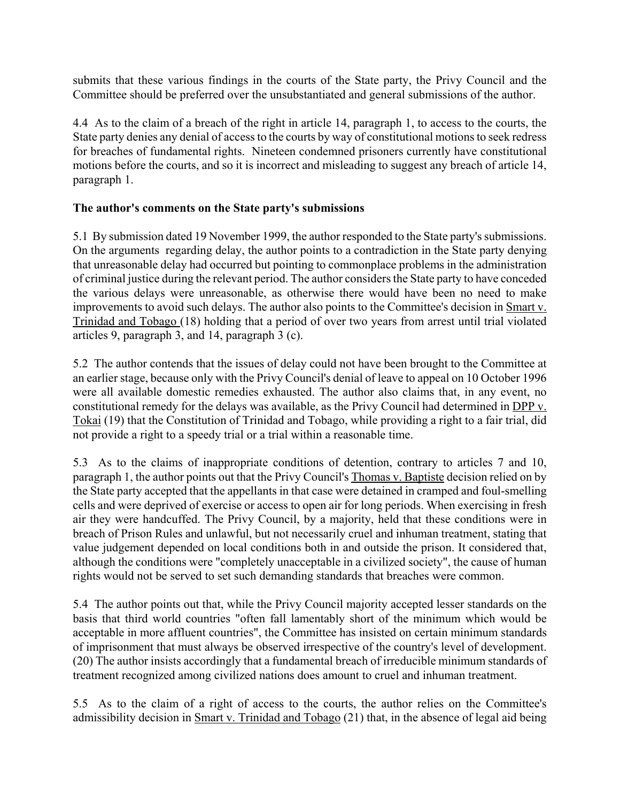submits that these various findings in the courts of the State party, the Privy Council and the Committee should be preferred over the unsubstantiated and general submissions of the author.

4.4 As to the claim of a breach of the right in article 14, paragraph 1, to access to the courts, the State party denies any denial of access to the courts by way of constitutional motions to seek redress for breaches of fundamental rights. Nineteen condemned prisoners currently have constitutional motions before the courts, and so it is incorrect and misleading to suggest any breach of article 14, paragraph 1.

# **The author's comments on the State party's submissions**

5.1 By submission dated 19 November 1999, the author responded to the State party's submissions. On the arguments regarding delay, the author points to a contradiction in the State party denying that unreasonable delay had occurred but pointing to commonplace problems in the administration of criminal justice during the relevant period. The author considers the State party to have conceded the various delays were unreasonable, as otherwise there would have been no need to make improvements to avoid such delays. The author also points to the Committee's decision in Smart v. Trinidad and Tobago (18) holding that a period of over two years from arrest until trial violated articles 9, paragraph 3, and 14, paragraph 3 (c).

5.2 The author contends that the issues of delay could not have been brought to the Committee at an earlier stage, because only with the Privy Council's denial of leave to appeal on 10 October 1996 were all available domestic remedies exhausted. The author also claims that, in any event, no constitutional remedy for the delays was available, as the Privy Council had determined in DPP v. Tokai (19) that the Constitution of Trinidad and Tobago, while providing a right to a fair trial, did not provide a right to a speedy trial or a trial within a reasonable time.

5.3 As to the claims of inappropriate conditions of detention, contrary to articles 7 and 10, paragraph 1, the author points out that the Privy Council's Thomas v. Baptiste decision relied on by the State party accepted that the appellants in that case were detained in cramped and foul-smelling cells and were deprived of exercise or access to open air for long periods. When exercising in fresh air they were handcuffed. The Privy Council, by a majority, held that these conditions were in breach of Prison Rules and unlawful, but not necessarily cruel and inhuman treatment, stating that value judgement depended on local conditions both in and outside the prison. It considered that, although the conditions were "completely unacceptable in a civilized society", the cause of human rights would not be served to set such demanding standards that breaches were common.

5.4 The author points out that, while the Privy Council majority accepted lesser standards on the basis that third world countries "often fall lamentably short of the minimum which would be acceptable in more affluent countries", the Committee has insisted on certain minimum standards of imprisonment that must always be observed irrespective of the country's level of development. (20) The author insists accordingly that a fundamental breach of irreducible minimum standards of treatment recognized among civilized nations does amount to cruel and inhuman treatment.

5.5 As to the claim of a right of access to the courts, the author relies on the Committee's admissibility decision in Smart v. Trinidad and Tobago (21) that, in the absence of legal aid being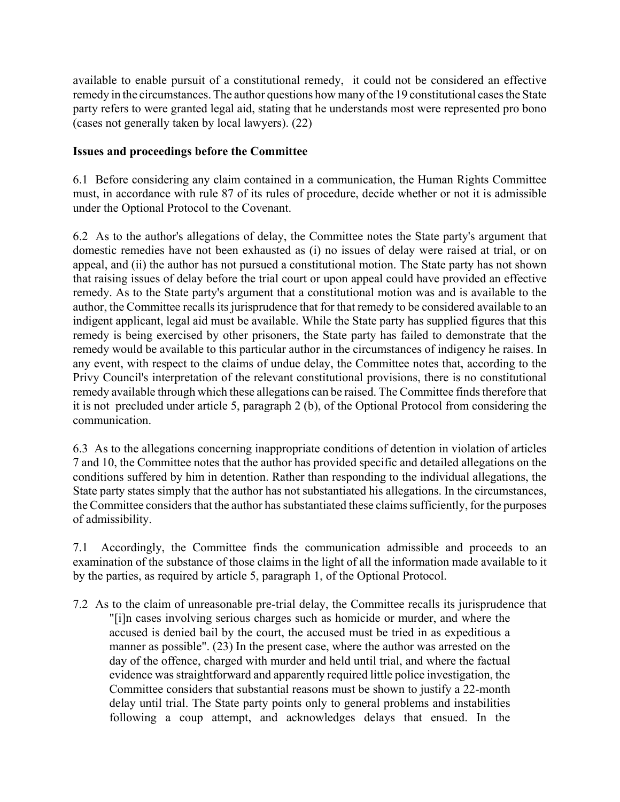available to enable pursuit of a constitutional remedy, it could not be considered an effective remedy in the circumstances. The author questions how many of the 19 constitutional cases the State party refers to were granted legal aid, stating that he understands most were represented pro bono (cases not generally taken by local lawyers). (22)

## **Issues and proceedings before the Committee**

6.1 Before considering any claim contained in a communication, the Human Rights Committee must, in accordance with rule 87 of its rules of procedure, decide whether or not it is admissible under the Optional Protocol to the Covenant.

6.2 As to the author's allegations of delay, the Committee notes the State party's argument that domestic remedies have not been exhausted as (i) no issues of delay were raised at trial, or on appeal, and (ii) the author has not pursued a constitutional motion. The State party has not shown that raising issues of delay before the trial court or upon appeal could have provided an effective remedy. As to the State party's argument that a constitutional motion was and is available to the author, the Committee recalls its jurisprudence that for that remedy to be considered available to an indigent applicant, legal aid must be available. While the State party has supplied figures that this remedy is being exercised by other prisoners, the State party has failed to demonstrate that the remedy would be available to this particular author in the circumstances of indigency he raises. In any event, with respect to the claims of undue delay, the Committee notes that, according to the Privy Council's interpretation of the relevant constitutional provisions, there is no constitutional remedy available through which these allegations can be raised. The Committee finds therefore that it is not precluded under article 5, paragraph 2 (b), of the Optional Protocol from considering the communication.

6.3 As to the allegations concerning inappropriate conditions of detention in violation of articles 7 and 10, the Committee notes that the author has provided specific and detailed allegations on the conditions suffered by him in detention. Rather than responding to the individual allegations, the State party states simply that the author has not substantiated his allegations. In the circumstances, the Committee considers that the author has substantiated these claims sufficiently, for the purposes of admissibility.

7.1 Accordingly, the Committee finds the communication admissible and proceeds to an examination of the substance of those claims in the light of all the information made available to it by the parties, as required by article 5, paragraph 1, of the Optional Protocol.

7.2 As to the claim of unreasonable pre-trial delay, the Committee recalls its jurisprudence that "[i]n cases involving serious charges such as homicide or murder, and where the accused is denied bail by the court, the accused must be tried in as expeditious a manner as possible". (23) In the present case, where the author was arrested on the day of the offence, charged with murder and held until trial, and where the factual evidence was straightforward and apparently required little police investigation, the Committee considers that substantial reasons must be shown to justify a 22-month delay until trial. The State party points only to general problems and instabilities following a coup attempt, and acknowledges delays that ensued. In the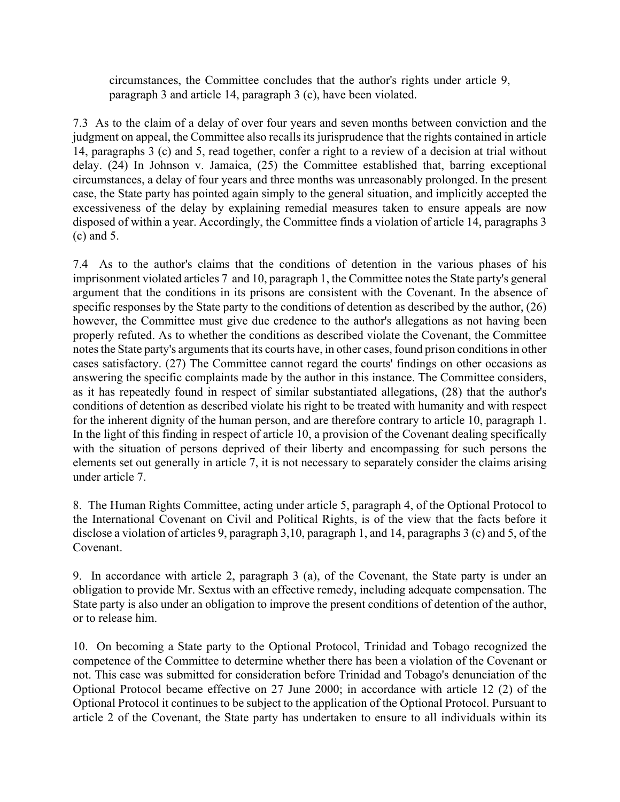circumstances, the Committee concludes that the author's rights under article 9, paragraph 3 and article 14, paragraph 3 (c), have been violated.

7.3 As to the claim of a delay of over four years and seven months between conviction and the judgment on appeal, the Committee also recalls its jurisprudence that the rights contained in article 14, paragraphs 3 (c) and 5, read together, confer a right to a review of a decision at trial without delay. (24) In Johnson v. Jamaica, (25) the Committee established that, barring exceptional circumstances, a delay of four years and three months was unreasonably prolonged. In the present case, the State party has pointed again simply to the general situation, and implicitly accepted the excessiveness of the delay by explaining remedial measures taken to ensure appeals are now disposed of within a year. Accordingly, the Committee finds a violation of article 14, paragraphs 3 (c) and 5.

7.4 As to the author's claims that the conditions of detention in the various phases of his imprisonment violated articles 7 and 10, paragraph 1, the Committee notes the State party's general argument that the conditions in its prisons are consistent with the Covenant. In the absence of specific responses by the State party to the conditions of detention as described by the author, (26) however, the Committee must give due credence to the author's allegations as not having been properly refuted. As to whether the conditions as described violate the Covenant, the Committee notes the State party's arguments that its courts have, in other cases, found prison conditions in other cases satisfactory. (27) The Committee cannot regard the courts' findings on other occasions as answering the specific complaints made by the author in this instance. The Committee considers, as it has repeatedly found in respect of similar substantiated allegations, (28) that the author's conditions of detention as described violate his right to be treated with humanity and with respect for the inherent dignity of the human person, and are therefore contrary to article 10, paragraph 1. In the light of this finding in respect of article 10, a provision of the Covenant dealing specifically with the situation of persons deprived of their liberty and encompassing for such persons the elements set out generally in article 7, it is not necessary to separately consider the claims arising under article 7.

8. The Human Rights Committee, acting under article 5, paragraph 4, of the Optional Protocol to the International Covenant on Civil and Political Rights, is of the view that the facts before it disclose a violation of articles 9, paragraph 3,10, paragraph 1, and 14, paragraphs 3 (c) and 5, of the Covenant.

9. In accordance with article 2, paragraph 3 (a), of the Covenant, the State party is under an obligation to provide Mr. Sextus with an effective remedy, including adequate compensation. The State party is also under an obligation to improve the present conditions of detention of the author, or to release him.

10. On becoming a State party to the Optional Protocol, Trinidad and Tobago recognized the competence of the Committee to determine whether there has been a violation of the Covenant or not. This case was submitted for consideration before Trinidad and Tobago's denunciation of the Optional Protocol became effective on 27 June 2000; in accordance with article 12 (2) of the Optional Protocol it continues to be subject to the application of the Optional Protocol. Pursuant to article 2 of the Covenant, the State party has undertaken to ensure to all individuals within its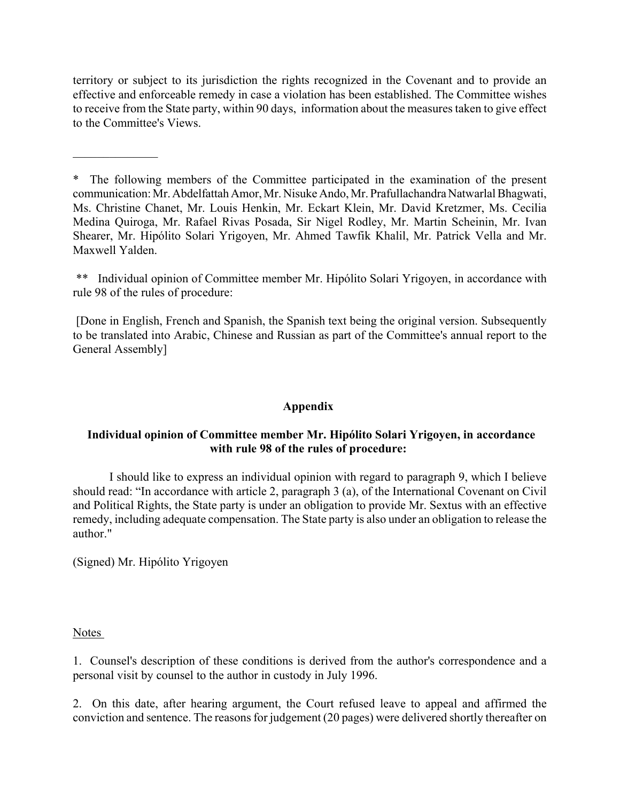territory or subject to its jurisdiction the rights recognized in the Covenant and to provide an effective and enforceable remedy in case a violation has been established. The Committee wishes to receive from the State party, within 90 days, information about the measures taken to give effect to the Committee's Views.

\* The following members of the Committee participated in the examination of the present communication: Mr. Abdelfattah Amor, Mr. Nisuke Ando, Mr. Prafullachandra Natwarlal Bhagwati, Ms. Christine Chanet, Mr. Louis Henkin, Mr. Eckart Klein, Mr. David Kretzmer, Ms. Cecilia Medina Quiroga, Mr. Rafael Rivas Posada, Sir Nigel Rodley, Mr. Martin Scheinin, Mr. Ivan Shearer, Mr. Hipólito Solari Yrigoyen, Mr. Ahmed Tawfik Khalil, Mr. Patrick Vella and Mr. Maxwell Yalden.

\*\* Individual opinion of Committee member Mr. Hipólito Solari Yrigoyen, in accordance with rule 98 of the rules of procedure:

 [Done in English, French and Spanish, the Spanish text being the original version. Subsequently to be translated into Arabic, Chinese and Russian as part of the Committee's annual report to the General Assembly]

### **Appendix**

### Individual opinion of Committee member Mr. Hipólito Solari Yrigoyen, in accordance **with rule 98 of the rules of procedure:**

I should like to express an individual opinion with regard to paragraph 9, which I believe should read: "In accordance with article 2, paragraph  $3$  (a), of the International Covenant on Civil and Political Rights, the State party is under an obligation to provide Mr. Sextus with an effective remedy, including adequate compensation. The State party is also under an obligation to release the author."

(Signed) Mr. Hipólito Yrigoyen

 $\frac{1}{2}$ 

Notes

1. Counsel's description of these conditions is derived from the author's correspondence and a personal visit by counsel to the author in custody in July 1996.

2. On this date, after hearing argument, the Court refused leave to appeal and affirmed the conviction and sentence. The reasons for judgement (20 pages) were delivered shortly thereafter on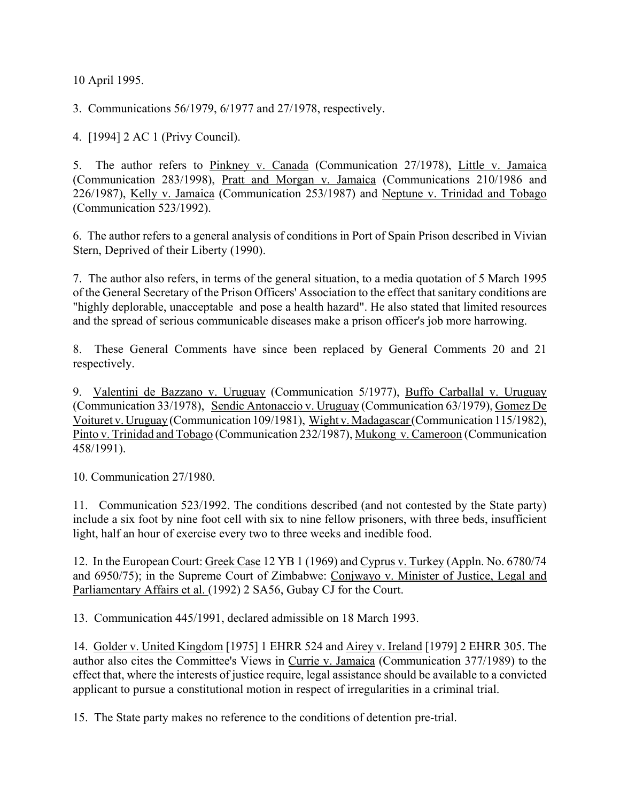10 April 1995.

3. Communications 56/1979, 6/1977 and 27/1978, respectively.

4. [1994] 2 AC 1 (Privy Council).

5. The author refers to Pinkney v. Canada (Communication 27/1978), Little v. Jamaica (Communication 283/1998), Pratt and Morgan v. Jamaica (Communications 210/1986 and 226/1987), Kelly v. Jamaica (Communication 253/1987) and Neptune v. Trinidad and Tobago (Communication 523/1992).

6. The author refers to a general analysis of conditions in Port of Spain Prison described in Vivian Stern, Deprived of their Liberty (1990).

7. The author also refers, in terms of the general situation, to a media quotation of 5 March 1995 of the General Secretary of the Prison Officers' Association to the effect that sanitary conditions are "highly deplorable, unacceptable and pose a health hazard". He also stated that limited resources and the spread of serious communicable diseases make a prison officer's job more harrowing.

8. These General Comments have since been replaced by General Comments 20 and 21 respectively.

9. Valentini de Bazzano v. Uruguay (Communication 5/1977), Buffo Carballal v. Uruguay (Communication 33/1978), Sendic Antonaccio v. Uruguay (Communication 63/1979), Gomez De Voituret v. Uruguay (Communication 109/1981), Wight v. Madagascar (Communication 115/1982), Pinto v. Trinidad and Tobago (Communication 232/1987), Mukong v. Cameroon (Communication 458/1991).

10. Communication 27/1980.

11. Communication 523/1992. The conditions described (and not contested by the State party) include a six foot by nine foot cell with six to nine fellow prisoners, with three beds, insufficient light, half an hour of exercise every two to three weeks and inedible food.

12. In the European Court: Greek Case 12 YB 1 (1969) and Cyprus v. Turkey (Appln. No. 6780/74 and 6950/75); in the Supreme Court of Zimbabwe: Conjwayo v. Minister of Justice, Legal and Parliamentary Affairs et al. (1992) 2 SA56, Gubay CJ for the Court.

13. Communication 445/1991, declared admissible on 18 March 1993.

14. Golder v. United Kingdom [1975] 1 EHRR 524 and Airey v. Ireland [1979] 2 EHRR 305. The author also cites the Committee's Views in Currie v. Jamaica (Communication 377/1989) to the effect that, where the interests of justice require, legal assistance should be available to a convicted applicant to pursue a constitutional motion in respect of irregularities in a criminal trial.

15. The State party makes no reference to the conditions of detention pre-trial.